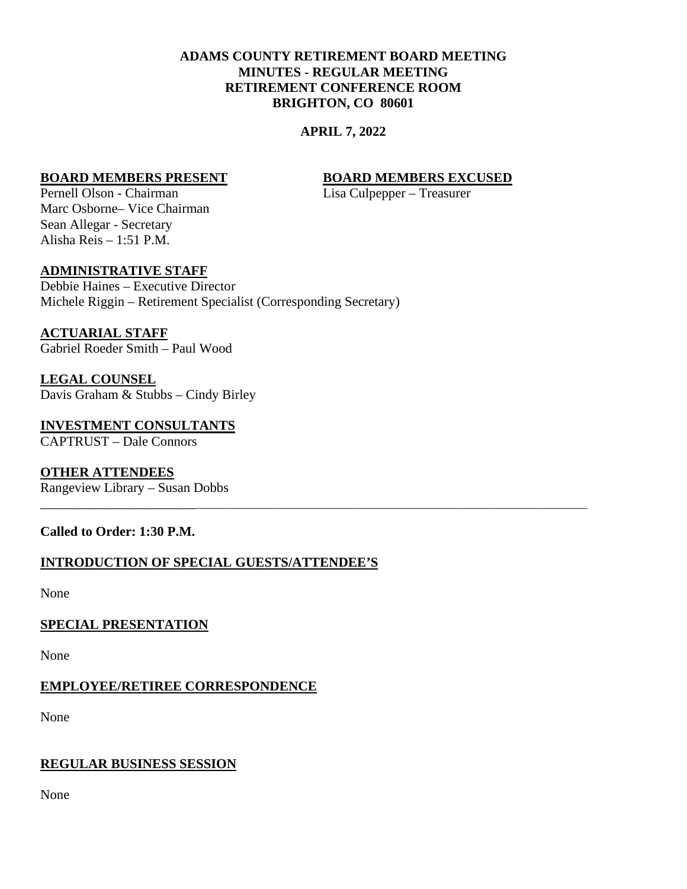# **ADAMS COUNTY RETIREMENT BOARD MEETING MINUTES - REGULAR MEETING RETIREMENT CONFERENCE ROOM BRIGHTON, CO 80601**

## **APRIL 7, 2022**

\_\_\_\_\_\_\_\_\_\_\_\_\_\_\_\_\_\_\_\_\_\_\_\_\_\_\_\_\_\_\_\_\_\_\_\_\_\_\_\_\_\_\_\_\_\_\_\_\_\_\_\_\_\_\_\_\_\_\_\_\_\_\_\_\_\_\_\_\_\_\_\_\_\_\_\_\_\_\_\_\_\_\_\_\_\_\_\_\_\_\_\_\_

## **BOARD MEMBERS PRESENT BOARD MEMBERS EXCUSED**

Pernell Olson - Chairman Lisa Culpepper – Treasurer Marc Osborne– Vice Chairman Sean Allegar - Secretary Alisha Reis – 1:51 P.M.

## **ADMINISTRATIVE STAFF**

Debbie Haines – Executive Director Michele Riggin – Retirement Specialist (Corresponding Secretary)

## **ACTUARIAL STAFF**

Gabriel Roeder Smith – Paul Wood

**LEGAL COUNSEL** Davis Graham & Stubbs – Cindy Birley

**INVESTMENT CONSULTANTS** CAPTRUST – Dale Connors

# **OTHER ATTENDEES**

Rangeview Library – Susan Dobbs

## **Called to Order: 1:30 P.M.**

## **INTRODUCTION OF SPECIAL GUESTS/ATTENDEE'S**

None

## **SPECIAL PRESENTATION**

None

## **EMPLOYEE/RETIREE CORRESPONDENCE**

None

## **REGULAR BUSINESS SESSION**

None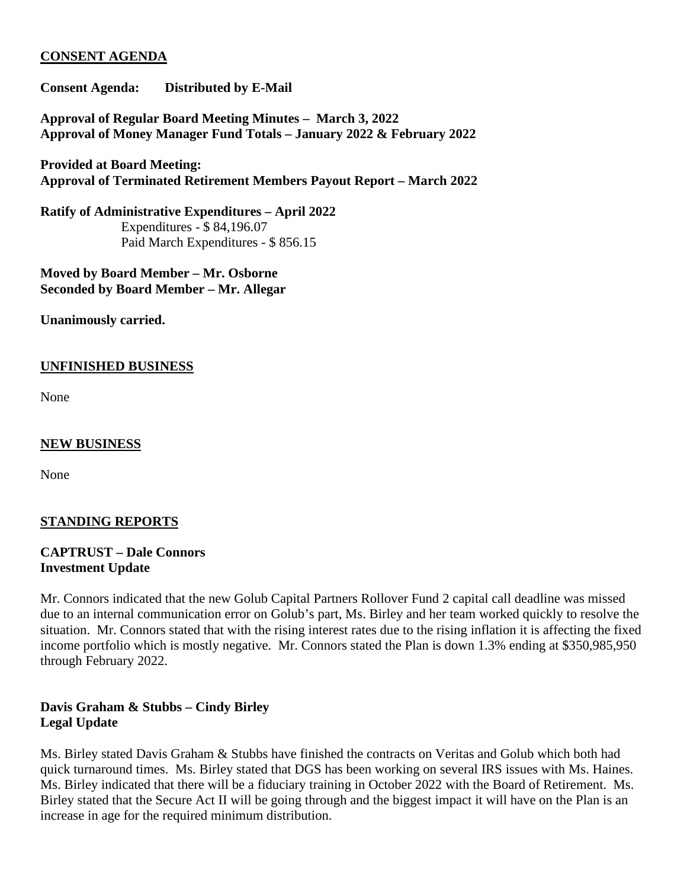# **CONSENT AGENDA**

**Consent Agenda: Distributed by E-Mail**

**Approval of Regular Board Meeting Minutes – March 3, 2022 Approval of Money Manager Fund Totals – January 2022 & February 2022**

**Provided at Board Meeting: Approval of Terminated Retirement Members Payout Report – March 2022**

**Ratify of Administrative Expenditures – April 2022** Expenditures - \$ 84,196.07 Paid March Expenditures - \$ 856.15

**Moved by Board Member – Mr. Osborne Seconded by Board Member – Mr. Allegar**

**Unanimously carried.**

## **UNFINISHED BUSINESS**

None

## **NEW BUSINESS**

None

# **STANDING REPORTS**

# **CAPTRUST – Dale Connors Investment Update**

Mr. Connors indicated that the new Golub Capital Partners Rollover Fund 2 capital call deadline was missed due to an internal communication error on Golub's part, Ms. Birley and her team worked quickly to resolve the situation. Mr. Connors stated that with the rising interest rates due to the rising inflation it is affecting the fixed income portfolio which is mostly negative. Mr. Connors stated the Plan is down 1.3% ending at \$350,985,950 through February 2022.

# **Davis Graham & Stubbs – Cindy Birley Legal Update**

Ms. Birley stated Davis Graham & Stubbs have finished the contracts on Veritas and Golub which both had quick turnaround times. Ms. Birley stated that DGS has been working on several IRS issues with Ms. Haines. Ms. Birley indicated that there will be a fiduciary training in October 2022 with the Board of Retirement. Ms. Birley stated that the Secure Act II will be going through and the biggest impact it will have on the Plan is an increase in age for the required minimum distribution.